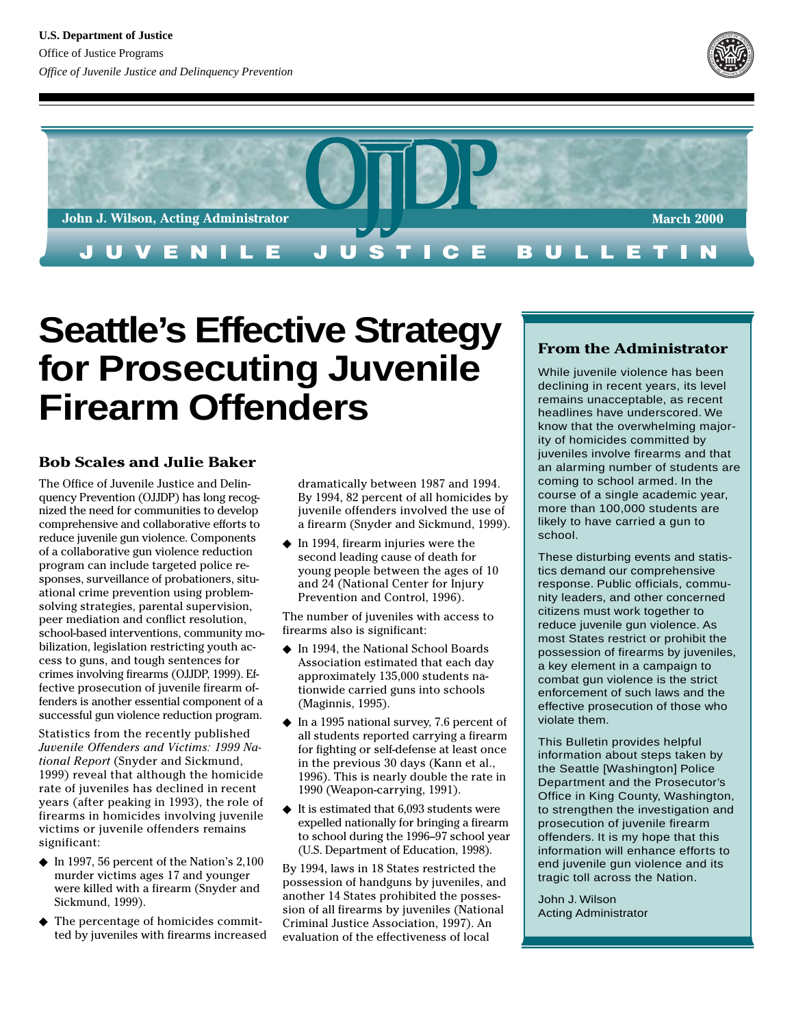



# **Seattle's Effective Strategy for Prosecuting Juvenile Firearm Offenders**

### **Bob Scales and Julie Baker**

The Office of Juvenile Justice and Delinquency Prevention (OJJDP) has long recognized the need for communities to develop comprehensive and collaborative efforts to reduce juvenile gun violence. Components of a collaborative gun violence reduction program can include targeted police responses, surveillance of probationers, situational crime prevention using problemsolving strategies, parental supervision, peer mediation and conflict resolution, school-based interventions, community mobilization, legislation restricting youth access to guns, and tough sentences for crimes involving firearms (OJJDP, 1999). Effective prosecution of juvenile firearm offenders is another essential component of a successful gun violence reduction program.

Statistics from the recently published *Juvenile Offenders and Victims: 1999 National Report* (Snyder and Sickmund, 1999) reveal that although the homicide rate of juveniles has declined in recent years (after peaking in 1993), the role of firearms in homicides involving juvenile victims or juvenile offenders remains significant:

- $\blacklozenge$  In 1997, 56 percent of the Nation's 2,100 murder victims ages 17 and younger were killed with a firearm (Snyder and Sickmund, 1999).
- ◆ The percentage of homicides committed by juveniles with firearms increased

dramatically between 1987 and 1994. By 1994, 82 percent of all homicides by juvenile offenders involved the use of a firearm (Snyder and Sickmund, 1999).

◆ In 1994, firearm injuries were the second leading cause of death for young people between the ages of 10 and 24 (National Center for Injury Prevention and Control, 1996).

The number of juveniles with access to firearms also is significant:

- ◆ In 1994, the National School Boards Association estimated that each day approximately 135,000 students nationwide carried guns into schools (Maginnis, 1995).
- ◆ In a 1995 national survey, 7.6 percent of all students reported carrying a firearm for fighting or self-defense at least once in the previous 30 days (Kann et al., 1996). This is nearly double the rate in 1990 (Weapon-carrying, 1991).
- $\blacklozenge$  It is estimated that 6,093 students were expelled nationally for bringing a firearm to school during the 1996–97 school year (U.S. Department of Education, 1998).

By 1994, laws in 18 States restricted the possession of handguns by juveniles, and another 14 States prohibited the possession of all firearms by juveniles (National Criminal Justice Association, 1997). An evaluation of the effectiveness of local

# **From the Administrator**

While juvenile violence has been declining in recent years, its level remains unacceptable, as recent headlines have underscored. We know that the overwhelming majority of homicides committed by juveniles involve firearms and that an alarming number of students are coming to school armed. In the course of a single academic year, more than 100,000 students are likely to have carried a gun to school.

These disturbing events and statistics demand our comprehensive response. Public officials, community leaders, and other concerned citizens must work together to reduce juvenile gun violence. As most States restrict or prohibit the possession of firearms by juveniles, a key element in a campaign to combat gun violence is the strict enforcement of such laws and the effective prosecution of those who violate them.

This Bulletin provides helpful information about steps taken by the Seattle [Washington] Police Department and the Prosecutor's Office in King County, Washington, to strengthen the investigation and prosecution of juvenile firearm offenders. It is my hope that this information will enhance efforts to end juvenile gun violence and its tragic toll across the Nation.

John J. Wilson Acting Administrator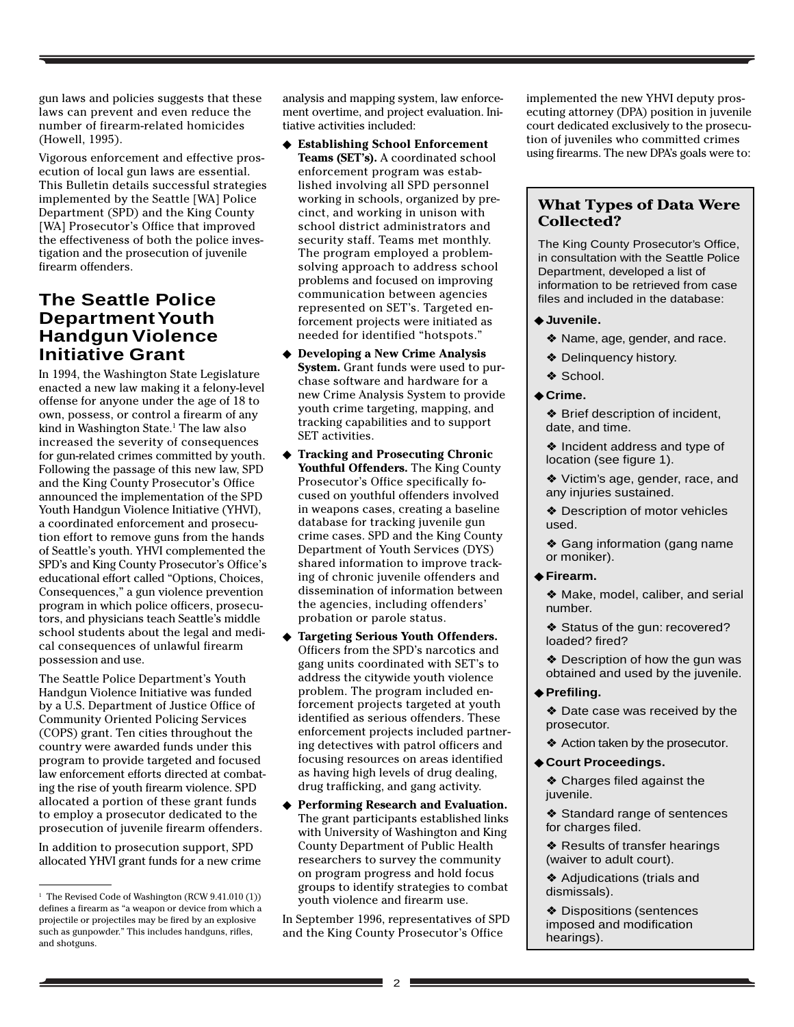gun laws and policies suggests that these laws can prevent and even reduce the number of firearm-related homicides (Howell, 1995).

Vigorous enforcement and effective prosecution of local gun laws are essential. This Bulletin details successful strategies implemented by the Seattle [WA] Police Department (SPD) and the King County [WA] Prosecutor's Office that improved the effectiveness of both the police investigation and the prosecution of juvenile firearm offenders.

# **The Seattle Police Department Youth Handgun Violence Initiative Grant**

In 1994, the Washington State Legislature enacted a new law making it a felony-level offense for anyone under the age of 18 to own, possess, or control a firearm of any kind in Washington State.<sup>1</sup> The law also increased the severity of consequences for gun-related crimes committed by youth. Following the passage of this new law, SPD and the King County Prosecutor's Office announced the implementation of the SPD Youth Handgun Violence Initiative (YHVI), a coordinated enforcement and prosecution effort to remove guns from the hands of Seattle's youth. YHVI complemented the SPD's and King County Prosecutor's Office's educational effort called "Options, Choices, Consequences," a gun violence prevention program in which police officers, prosecutors, and physicians teach Seattle's middle school students about the legal and medical consequences of unlawful firearm possession and use.

The Seattle Police Department's Youth Handgun Violence Initiative was funded by a U.S. Department of Justice Office of Community Oriented Policing Services (COPS) grant. Ten cities throughout the country were awarded funds under this program to provide targeted and focused law enforcement efforts directed at combating the rise of youth firearm violence. SPD allocated a portion of these grant funds to employ a prosecutor dedicated to the prosecution of juvenile firearm offenders.

In addition to prosecution support, SPD allocated YHVI grant funds for a new crime analysis and mapping system, law enforcement overtime, and project evaluation. Initiative activities included:

- ◆ **Establishing School Enforcement Teams (SET's).** A coordinated school enforcement program was established involving all SPD personnel working in schools, organized by precinct, and working in unison with school district administrators and security staff. Teams met monthly. The program employed a problemsolving approach to address school problems and focused on improving communication between agencies represented on SET's. Targeted enforcement projects were initiated as needed for identified "hotspots."
- ◆ **Developing a New Crime Analysis System.** Grant funds were used to purchase software and hardware for a new Crime Analysis System to provide youth crime targeting, mapping, and tracking capabilities and to support SET activities.
- ◆ **Tracking and Prosecuting Chronic Youthful Offenders.** The King County Prosecutor's Office specifically focused on youthful offenders involved in weapons cases, creating a baseline database for tracking juvenile gun crime cases. SPD and the King County Department of Youth Services (DYS) shared information to improve tracking of chronic juvenile offenders and dissemination of information between the agencies, including offenders' probation or parole status.
- ◆ **Targeting Serious Youth Offenders.** Officers from the SPD's narcotics and gang units coordinated with SET's to address the citywide youth violence problem. The program included enforcement projects targeted at youth identified as serious offenders. These enforcement projects included partnering detectives with patrol officers and focusing resources on areas identified as having high levels of drug dealing, drug trafficking, and gang activity.
- ◆ **Performing Research and Evaluation.** The grant participants established links with University of Washington and King County Department of Public Health researchers to survey the community on program progress and hold focus groups to identify strategies to combat youth violence and firearm use.

In September 1996, representatives of SPD and the King County Prosecutor's Office

implemented the new YHVI deputy prosecuting attorney (DPA) position in juvenile court dedicated exclusively to the prosecution of juveniles who committed crimes using firearms. The new DPA's goals were to:

#### **What Types of Data Were Collected?**

The King County Prosecutor's Office, in consultation with the Seattle Police Department, developed a list of information to be retrieved from case files and included in the database:

- ◆**Juvenile.**
	- ❖ Name, age, gender, and race.
	- ❖ Delinquency history.
	- ❖ School.
- ◆**Crime.**

❖ Brief description of incident, date, and time.

❖ Incident address and type of location (see figure 1).

❖ Victim's age, gender, race, and any injuries sustained.

❖ Description of motor vehicles used.

❖ Gang information (gang name or moniker).

◆**Firearm.**

❖ Make, model, caliber, and serial number.

❖ Status of the gun: recovered? loaded? fired?

❖ Description of how the gun was obtained and used by the juvenile.

#### ◆**Prefiling.**

❖ Date case was received by the prosecutor.

- ❖ Action taken by the prosecutor.
- ◆**Court Proceedings.**

❖ Charges filed against the iuvenile.

❖ Standard range of sentences for charges filed.

❖ Results of transfer hearings (waiver to adult court).

❖ Adjudications (trials and dismissals).

❖ Dispositions (sentences imposed and modification hearings).

<sup>1</sup> The Revised Code of Washington (RCW 9.41.010 (1)) defines a firearm as "a weapon or device from which a projectile or projectiles may be fired by an explosive such as gunpowder." This includes handguns, rifles, and shotguns.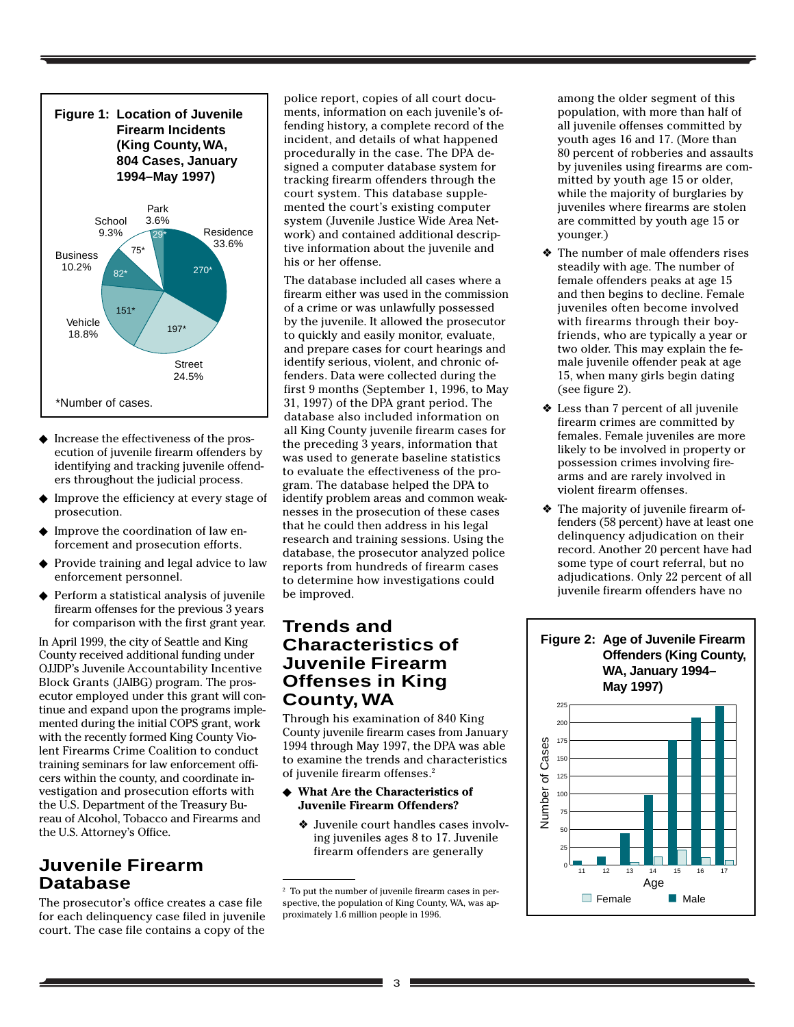

- ◆ Increase the effectiveness of the prosecution of juvenile firearm offenders by identifying and tracking juvenile offenders throughout the judicial process.
- ◆ Improve the efficiency at every stage of prosecution.
- ◆ Improve the coordination of law enforcement and prosecution efforts.
- ◆ Provide training and legal advice to law enforcement personnel.
- ◆ Perform a statistical analysis of juvenile firearm offenses for the previous 3 years for comparison with the first grant year.

In April 1999, the city of Seattle and King County received additional funding under OJJDP's Juvenile Accountability Incentive Block Grants (JAIBG) program. The prosecutor employed under this grant will continue and expand upon the programs implemented during the initial COPS grant, work with the recently formed King County Violent Firearms Crime Coalition to conduct training seminars for law enforcement officers within the county, and coordinate investigation and prosecution efforts with the U.S. Department of the Treasury Bureau of Alcohol, Tobacco and Firearms and the U.S. Attorney's Office.

# **Juvenile Firearm Database**

The prosecutor's office creates a case file for each delinquency case filed in juvenile court. The case file contains a copy of the

police report, copies of all court documents, information on each juvenile's offending history, a complete record of the incident, and details of what happened procedurally in the case. The DPA designed a computer database system for tracking firearm offenders through the court system. This database supplemented the court's existing computer system (Juvenile Justice Wide Area Network) and contained additional descriptive information about the juvenile and his or her offense.

The database included all cases where a firearm either was used in the commission of a crime or was unlawfully possessed by the juvenile. It allowed the prosecutor to quickly and easily monitor, evaluate, and prepare cases for court hearings and identify serious, violent, and chronic offenders. Data were collected during the first 9 months (September 1, 1996, to May 31, 1997) of the DPA grant period. The database also included information on all King County juvenile firearm cases for the preceding 3 years, information that was used to generate baseline statistics to evaluate the effectiveness of the program. The database helped the DPA to identify problem areas and common weaknesses in the prosecution of these cases that he could then address in his legal research and training sessions. Using the database, the prosecutor analyzed police reports from hundreds of firearm cases to determine how investigations could be improved.

# **Trends and Characteristics of Juvenile Firearm Offenses in King County, WA**

Through his examination of 840 King County juvenile firearm cases from January 1994 through May 1997, the DPA was able to examine the trends and characteristics of juvenile firearm offenses.2

- **What Are the Characteristics of Juvenile Firearm Offenders?**
	- ❖ Juvenile court handles cases involving juveniles ages 8 to 17. Juvenile firearm offenders are generally

among the older segment of this population, with more than half of all juvenile offenses committed by youth ages 16 and 17. (More than 80 percent of robberies and assaults by juveniles using firearms are committed by youth age 15 or older, while the majority of burglaries by juveniles where firearms are stolen are committed by youth age 15 or younger.)

- ❖ The number of male offenders rises steadily with age. The number of female offenders peaks at age 15 and then begins to decline. Female juveniles often become involved with firearms through their boyfriends, who are typically a year or two older. This may explain the female juvenile offender peak at age 15, when many girls begin dating (see figure 2).
- ❖ Less than 7 percent of all juvenile firearm crimes are committed by females. Female juveniles are more likely to be involved in property or possession crimes involving firearms and are rarely involved in violent firearm offenses.
- ❖ The majority of juvenile firearm offenders (58 percent) have at least one delinquency adjudication on their record. Another 20 percent have had some type of court referral, but no adjudications. Only 22 percent of all juvenile firearm offenders have no



<sup>2</sup> To put the number of juvenile firearm cases in perspective, the population of King County, WA, was approximately 1.6 million people in 1996.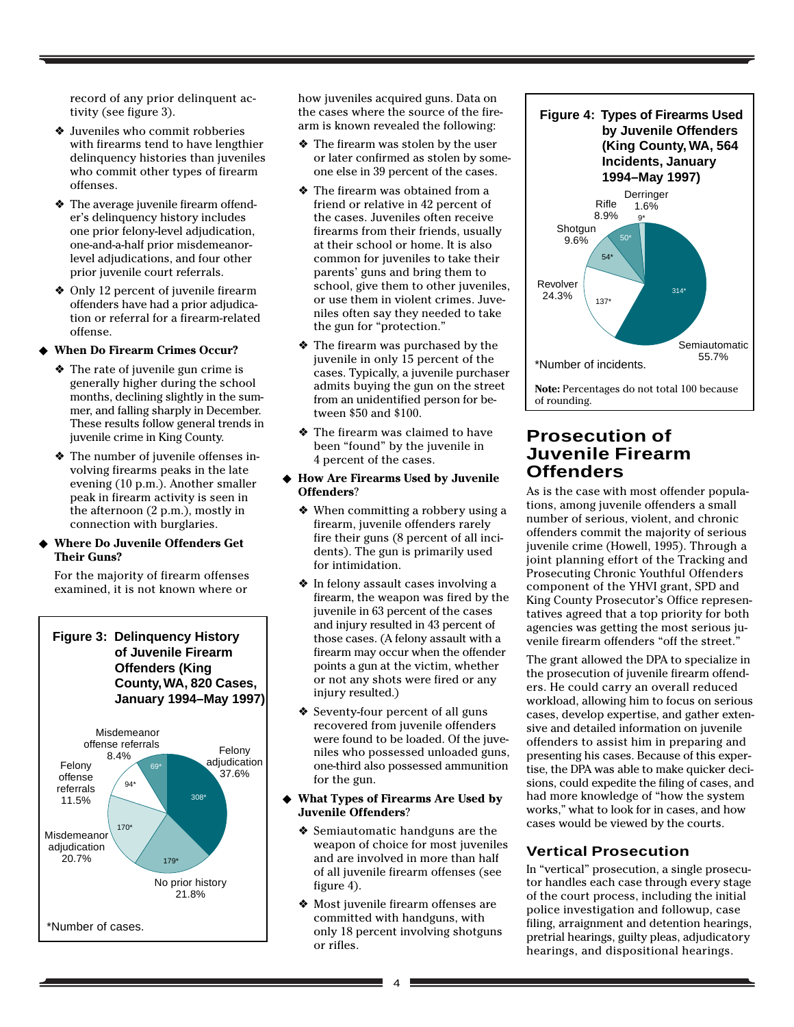record of any prior delinquent activity (see figure 3).

- ❖ Juveniles who commit robberies with firearms tend to have lengthier delinquency histories than juveniles who commit other types of firearm offenses.
- ❖ The average juvenile firearm offender's delinquency history includes one prior felony-level adjudication, one-and-a-half prior misdemeanorlevel adjudications, and four other prior juvenile court referrals.
- ❖ Only 12 percent of juvenile firearm offenders have had a prior adjudication or referral for a firearm-related offense.

#### **When Do Firearm Crimes Occur?**

- ❖ The rate of juvenile gun crime is generally higher during the school months, declining slightly in the summer, and falling sharply in December. These results follow general trends in juvenile crime in King County.
- ❖ The number of juvenile offenses involving firearms peaks in the late evening (10 p.m.). Another smaller peak in firearm activity is seen in the afternoon (2 p.m.), mostly in connection with burglaries.

#### **Where Do Juvenile Offenders Get Their Guns?**

For the majority of firearm offenses examined, it is not known where or



how juveniles acquired guns. Data on the cases where the source of the firearm is known revealed the following:

- ❖ The firearm was stolen by the user or later confirmed as stolen by someone else in 39 percent of the cases.
- ❖ The firearm was obtained from a friend or relative in 42 percent of the cases. Juveniles often receive firearms from their friends, usually at their school or home. It is also common for juveniles to take their parents' guns and bring them to school, give them to other juveniles, or use them in violent crimes. Juveniles often say they needed to take the gun for "protection."
- ❖ The firearm was purchased by the juvenile in only 15 percent of the cases. Typically, a juvenile purchaser admits buying the gun on the street from an unidentified person for between \$50 and \$100.
- ❖ The firearm was claimed to have been "found" by the juvenile in 4 percent of the cases.

#### ◆ **How Are Firearms Used by Juvenile Offenders**?

- ❖ When committing a robbery using a firearm, juvenile offenders rarely fire their guns (8 percent of all incidents). The gun is primarily used for intimidation.
- ❖ In felony assault cases involving a firearm, the weapon was fired by the juvenile in 63 percent of the cases and injury resulted in 43 percent of those cases. (A felony assault with a firearm may occur when the offender points a gun at the victim, whether or not any shots were fired or any injury resulted.)
- ❖ Seventy-four percent of all guns recovered from juvenile offenders were found to be loaded. Of the juveniles who possessed unloaded guns, one-third also possessed ammunition for the gun.
- ◆ **What Types of Firearms Are Used by Juvenile Offenders**?
	- ❖ Semiautomatic handguns are the weapon of choice for most juveniles and are involved in more than half of all juvenile firearm offenses (see figure 4).
	- ❖ Most juvenile firearm offenses are committed with handguns, with only 18 percent involving shotguns or rifles.



# **Prosecution of Juvenile Firearm Offenders**

As is the case with most offender populations, among juvenile offenders a small number of serious, violent, and chronic offenders commit the majority of serious juvenile crime (Howell, 1995). Through a joint planning effort of the Tracking and Prosecuting Chronic Youthful Offenders component of the YHVI grant, SPD and King County Prosecutor's Office representatives agreed that a top priority for both agencies was getting the most serious juvenile firearm offenders "off the street."

The grant allowed the DPA to specialize in the prosecution of juvenile firearm offenders. He could carry an overall reduced workload, allowing him to focus on serious cases, develop expertise, and gather extensive and detailed information on juvenile offenders to assist him in preparing and presenting his cases. Because of this expertise, the DPA was able to make quicker decisions, could expedite the filing of cases, and had more knowledge of "how the system works," what to look for in cases, and how cases would be viewed by the courts.

#### **Vertical Prosecution**

In "vertical" prosecution, a single prosecutor handles each case through every stage of the court process, including the initial police investigation and followup, case filing, arraignment and detention hearings, pretrial hearings, guilty pleas, adjudicatory hearings, and dispositional hearings.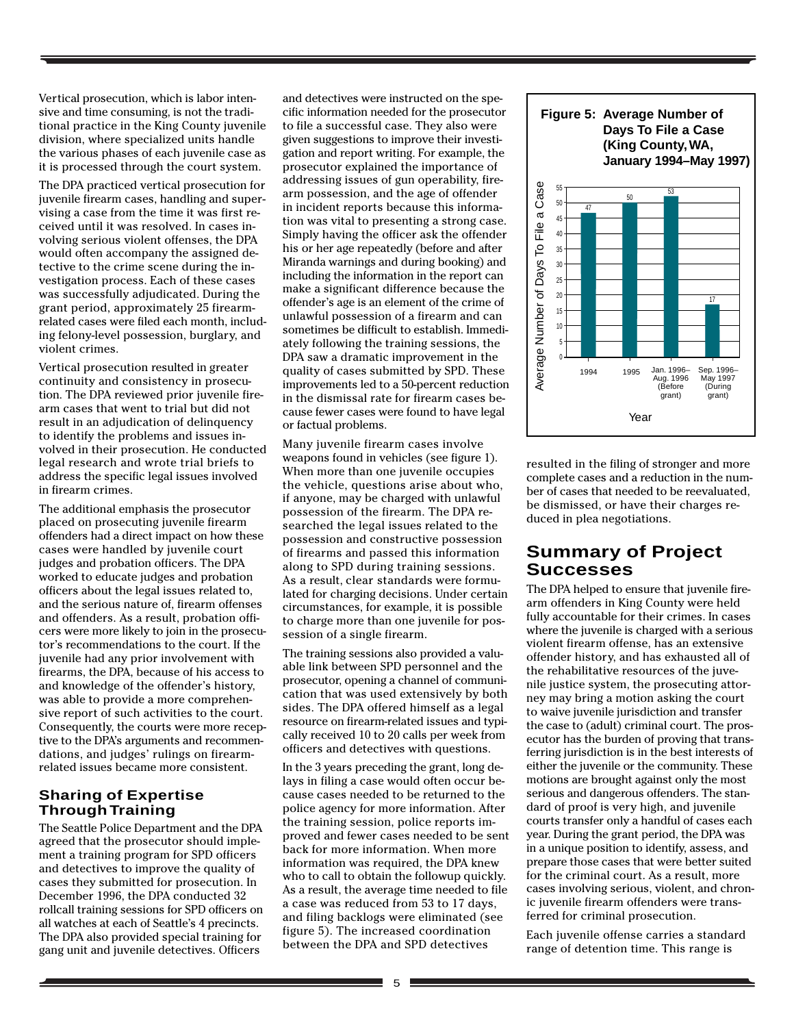Vertical prosecution, which is labor intensive and time consuming, is not the traditional practice in the King County juvenile division, where specialized units handle the various phases of each juvenile case as it is processed through the court system.

The DPA practiced vertical prosecution for juvenile firearm cases, handling and supervising a case from the time it was first received until it was resolved. In cases involving serious violent offenses, the DPA would often accompany the assigned detective to the crime scene during the investigation process. Each of these cases was successfully adjudicated. During the grant period, approximately 25 firearmrelated cases were filed each month, including felony-level possession, burglary, and violent crimes.

Vertical prosecution resulted in greater continuity and consistency in prosecution. The DPA reviewed prior juvenile firearm cases that went to trial but did not result in an adjudication of delinquency to identify the problems and issues involved in their prosecution. He conducted legal research and wrote trial briefs to address the specific legal issues involved in firearm crimes.

The additional emphasis the prosecutor placed on prosecuting juvenile firearm offenders had a direct impact on how these cases were handled by juvenile court judges and probation officers. The DPA worked to educate judges and probation officers about the legal issues related to, and the serious nature of, firearm offenses and offenders. As a result, probation officers were more likely to join in the prosecutor's recommendations to the court. If the juvenile had any prior involvement with firearms, the DPA, because of his access to and knowledge of the offender's history, was able to provide a more comprehensive report of such activities to the court. Consequently, the courts were more receptive to the DPA's arguments and recommendations, and judges' rulings on firearmrelated issues became more consistent.

#### **Sharing of Expertise Through Training**

The Seattle Police Department and the DPA agreed that the prosecutor should implement a training program for SPD officers and detectives to improve the quality of cases they submitted for prosecution. In December 1996, the DPA conducted 32 rollcall training sessions for SPD officers on all watches at each of Seattle's 4 precincts. The DPA also provided special training for gang unit and juvenile detectives. Officers

and detectives were instructed on the specific information needed for the prosecutor to file a successful case. They also were given suggestions to improve their investigation and report writing. For example, the prosecutor explained the importance of addressing issues of gun operability, firearm possession, and the age of offender in incident reports because this information was vital to presenting a strong case. Simply having the officer ask the offender his or her age repeatedly (before and after Miranda warnings and during booking) and including the information in the report can make a significant difference because the offender's age is an element of the crime of unlawful possession of a firearm and can sometimes be difficult to establish. Immediately following the training sessions, the DPA saw a dramatic improvement in the quality of cases submitted by SPD. These improvements led to a 50-percent reduction in the dismissal rate for firearm cases because fewer cases were found to have legal or factual problems.

Many juvenile firearm cases involve weapons found in vehicles (see figure 1). When more than one juvenile occupies the vehicle, questions arise about who, if anyone, may be charged with unlawful possession of the firearm. The DPA researched the legal issues related to the possession and constructive possession of firearms and passed this information along to SPD during training sessions. As a result, clear standards were formulated for charging decisions. Under certain circumstances, for example, it is possible to charge more than one juvenile for possession of a single firearm.

The training sessions also provided a valuable link between SPD personnel and the prosecutor, opening a channel of communication that was used extensively by both sides. The DPA offered himself as a legal resource on firearm-related issues and typically received 10 to 20 calls per week from officers and detectives with questions.

In the 3 years preceding the grant, long delays in filing a case would often occur because cases needed to be returned to the police agency for more information. After the training session, police reports improved and fewer cases needed to be sent back for more information. When more information was required, the DPA knew who to call to obtain the followup quickly. As a result, the average time needed to file a case was reduced from 53 to 17 days, and filing backlogs were eliminated (see figure 5). The increased coordination between the DPA and SPD detectives



resulted in the filing of stronger and more complete cases and a reduction in the number of cases that needed to be reevaluated, be dismissed, or have their charges reduced in plea negotiations.

# **Summary of Project Successes**

The DPA helped to ensure that juvenile firearm offenders in King County were held fully accountable for their crimes. In cases where the juvenile is charged with a serious violent firearm offense, has an extensive offender history, and has exhausted all of the rehabilitative resources of the juvenile justice system, the prosecuting attorney may bring a motion asking the court to waive juvenile jurisdiction and transfer the case to (adult) criminal court. The prosecutor has the burden of proving that transferring jurisdiction is in the best interests of either the juvenile or the community. These motions are brought against only the most serious and dangerous offenders. The standard of proof is very high, and juvenile courts transfer only a handful of cases each year. During the grant period, the DPA was in a unique position to identify, assess, and prepare those cases that were better suited for the criminal court. As a result, more cases involving serious, violent, and chronic juvenile firearm offenders were transferred for criminal prosecution.

Each juvenile offense carries a standard range of detention time. This range is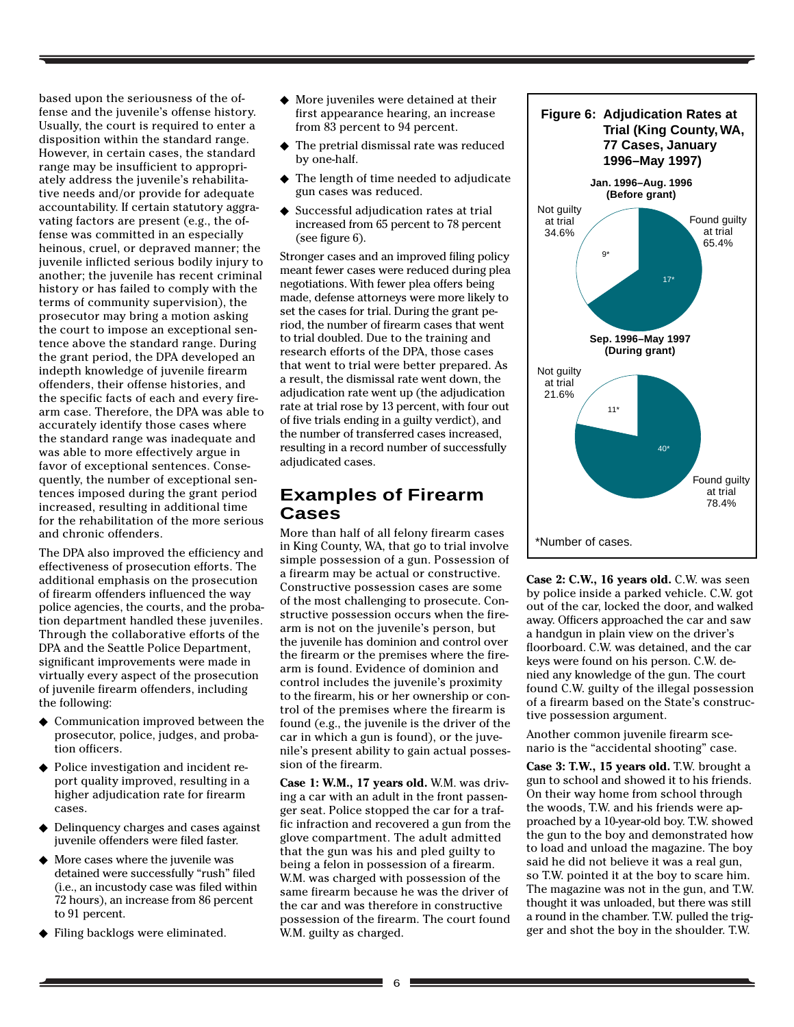based upon the seriousness of the offense and the juvenile's offense history. Usually, the court is required to enter a disposition within the standard range. However, in certain cases, the standard range may be insufficient to appropriately address the juvenile's rehabilitative needs and/or provide for adequate accountability. If certain statutory aggravating factors are present (e.g., the offense was committed in an especially heinous, cruel, or depraved manner; the juvenile inflicted serious bodily injury to another; the juvenile has recent criminal history or has failed to comply with the terms of community supervision), the prosecutor may bring a motion asking the court to impose an exceptional sentence above the standard range. During the grant period, the DPA developed an indepth knowledge of juvenile firearm offenders, their offense histories, and the specific facts of each and every firearm case. Therefore, the DPA was able to accurately identify those cases where the standard range was inadequate and was able to more effectively argue in favor of exceptional sentences. Consequently, the number of exceptional sentences imposed during the grant period increased, resulting in additional time for the rehabilitation of the more serious and chronic offenders.

The DPA also improved the efficiency and effectiveness of prosecution efforts. The additional emphasis on the prosecution of firearm offenders influenced the way police agencies, the courts, and the probation department handled these juveniles. Through the collaborative efforts of the DPA and the Seattle Police Department, significant improvements were made in virtually every aspect of the prosecution of juvenile firearm offenders, including the following:

- ◆ Communication improved between the prosecutor, police, judges, and probation officers.
- ◆ Police investigation and incident report quality improved, resulting in a higher adjudication rate for firearm cases.
- ◆ Delinquency charges and cases against juvenile offenders were filed faster.
- More cases where the juvenile was detained were successfully "rush" filed (i.e., an incustody case was filed within 72 hours), an increase from 86 percent to 91 percent.
- ◆ Filing backlogs were eliminated.
- ◆ More juveniles were detained at their first appearance hearing, an increase from 83 percent to 94 percent.
- ◆ The pretrial dismissal rate was reduced by one-half.
- ◆ The length of time needed to adjudicate gun cases was reduced.
- ◆ Successful adjudication rates at trial increased from 65 percent to 78 percent (see figure 6).

Stronger cases and an improved filing policy meant fewer cases were reduced during plea negotiations. With fewer plea offers being made, defense attorneys were more likely to set the cases for trial. During the grant period, the number of firearm cases that went to trial doubled. Due to the training and research efforts of the DPA, those cases that went to trial were better prepared. As a result, the dismissal rate went down, the adjudication rate went up (the adjudication rate at trial rose by 13 percent, with four out of five trials ending in a guilty verdict), and the number of transferred cases increased, resulting in a record number of successfully adjudicated cases.

# **Examples of Firearm Cases**

More than half of all felony firearm cases in King County, WA, that go to trial involve simple possession of a gun. Possession of a firearm may be actual or constructive. Constructive possession cases are some of the most challenging to prosecute. Constructive possession occurs when the firearm is not on the juvenile's person, but the juvenile has dominion and control over the firearm or the premises where the firearm is found. Evidence of dominion and control includes the juvenile's proximity to the firearm, his or her ownership or control of the premises where the firearm is found (e.g., the juvenile is the driver of the car in which a gun is found), or the juvenile's present ability to gain actual possession of the firearm.

**Case 1: W.M., 17 years old.** W.M. was driving a car with an adult in the front passenger seat. Police stopped the car for a traffic infraction and recovered a gun from the glove compartment. The adult admitted that the gun was his and pled guilty to being a felon in possession of a firearm. W.M. was charged with possession of the same firearm because he was the driver of the car and was therefore in constructive possession of the firearm. The court found W.M. guilty as charged.



**Case 2: C.W., 16 years old.** C.W. was seen by police inside a parked vehicle. C.W. got out of the car, locked the door, and walked away. Officers approached the car and saw a handgun in plain view on the driver's floorboard. C.W. was detained, and the car keys were found on his person. C.W. denied any knowledge of the gun. The court found C.W. guilty of the illegal possession of a firearm based on the State's constructive possession argument.

Another common juvenile firearm scenario is the "accidental shooting" case.

**Case 3: T.W., 15 years old.** T.W. brought a gun to school and showed it to his friends. On their way home from school through the woods, T.W. and his friends were approached by a 10-year-old boy. T.W. showed the gun to the boy and demonstrated how to load and unload the magazine. The boy said he did not believe it was a real gun, so T.W. pointed it at the boy to scare him. The magazine was not in the gun, and T.W. thought it was unloaded, but there was still a round in the chamber. T.W. pulled the trigger and shot the boy in the shoulder. T.W.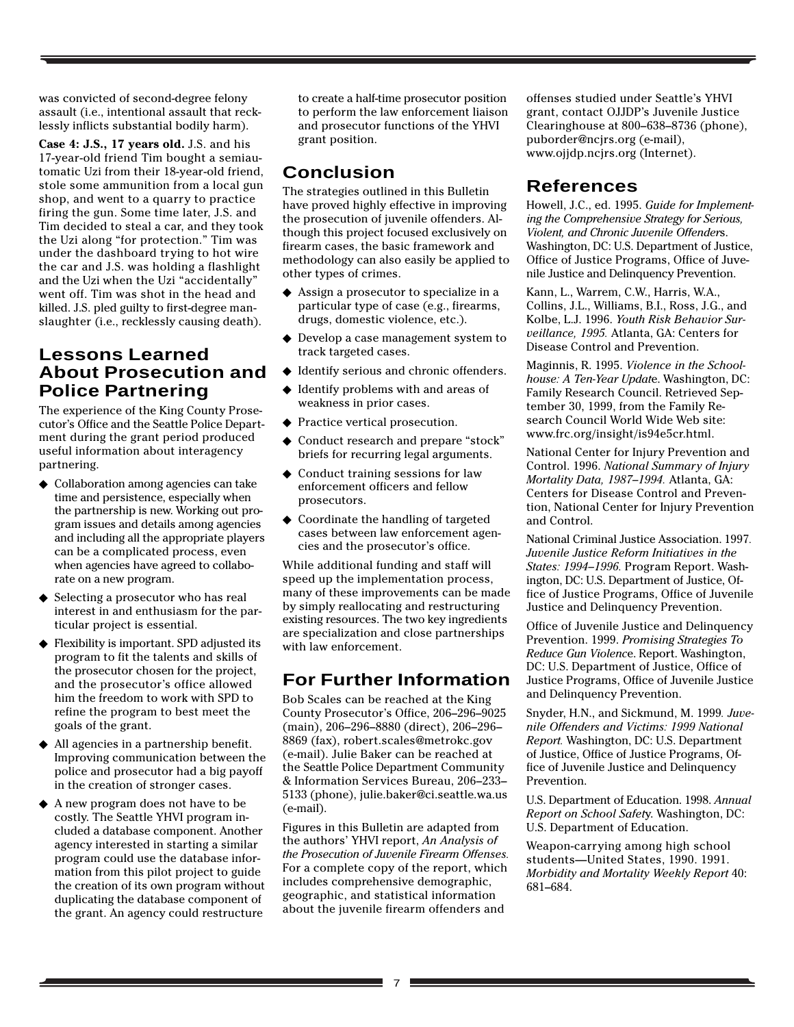was convicted of second-degree felony assault (i.e., intentional assault that recklessly inflicts substantial bodily harm).

**Case 4: J.S., 17 years old.** J.S. and his 17-year-old friend Tim bought a semiautomatic Uzi from their 18-year-old friend, stole some ammunition from a local gun shop, and went to a quarry to practice firing the gun. Some time later, J.S. and Tim decided to steal a car, and they took the Uzi along "for protection." Tim was under the dashboard trying to hot wire the car and J.S. was holding a flashlight and the Uzi when the Uzi "accidentally" went off. Tim was shot in the head and killed. J.S. pled guilty to first-degree manslaughter (i.e., recklessly causing death).

# **Lessons Learned About Prosecution and Police Partnering**

The experience of the King County Prosecutor's Office and the Seattle Police Department during the grant period produced useful information about interagency partnering.

- ◆ Collaboration among agencies can take time and persistence, especially when the partnership is new. Working out program issues and details among agencies and including all the appropriate players can be a complicated process, even when agencies have agreed to collaborate on a new program.
- ◆ Selecting a prosecutor who has real interest in and enthusiasm for the particular project is essential.
- ◆ Flexibility is important. SPD adjusted its program to fit the talents and skills of the prosecutor chosen for the project, and the prosecutor's office allowed him the freedom to work with SPD to refine the program to best meet the goals of the grant.
- ◆ All agencies in a partnership benefit. Improving communication between the police and prosecutor had a big payoff in the creation of stronger cases.
- A new program does not have to be costly. The Seattle YHVI program included a database component. Another agency interested in starting a similar program could use the database information from this pilot project to guide the creation of its own program without duplicating the database component of the grant. An agency could restructure

to create a half-time prosecutor position to perform the law enforcement liaison and prosecutor functions of the YHVI grant position.

# **Conclusion**

The strategies outlined in this Bulletin have proved highly effective in improving the prosecution of juvenile offenders. Although this project focused exclusively on firearm cases, the basic framework and methodology can also easily be applied to other types of crimes.

- ◆ Assign a prosecutor to specialize in a particular type of case (e.g., firearms, drugs, domestic violence, etc.).
- ◆ Develop a case management system to track targeted cases.
- ◆ Identify serious and chronic offenders.
- ◆ Identify problems with and areas of weakness in prior cases.
- ◆ Practice vertical prosecution.
- ◆ Conduct research and prepare "stock" briefs for recurring legal arguments.
- ◆ Conduct training sessions for law enforcement officers and fellow prosecutors.
- ◆ Coordinate the handling of targeted cases between law enforcement agencies and the prosecutor's office.

While additional funding and staff will speed up the implementation process, many of these improvements can be made by simply reallocating and restructuring existing resources. The two key ingredients are specialization and close partnerships with law enforcement.

# **For Further Information**

Bob Scales can be reached at the King County Prosecutor's Office, 206–296–9025 (main), 206–296–8880 (direct), 206–296– 8869 (fax), robert.scales@metrokc.gov (e-mail). Julie Baker can be reached at the Seattle Police Department Community & Information Services Bureau, 206–233– 5133 (phone), julie.baker@ci.seattle.wa.us (e-mail).

Figures in this Bulletin are adapted from the authors' YHVI report, *An Analysis of the Prosecution of Juvenile Firearm Offenses.* For a complete copy of the report, which includes comprehensive demographic, geographic, and statistical information about the juvenile firearm offenders and

offenses studied under Seattle's YHVI grant, contact OJJDP's Juvenile Justice Clearinghouse at 800–638–8736 (phone), puborder@ncjrs.org (e-mail), www.ojjdp.ncjrs.org (Internet).

# **References**

Howell, J.C., ed. 1995. *Guide for Implementing the Comprehensive Strategy for Serious, Violent, and Chronic Juvenile Offender*s. Washington, DC: U.S. Department of Justice, Office of Justice Programs, Office of Juvenile Justice and Delinquency Prevention.

Kann, L., Warrem, C.W., Harris, W.A., Collins, J.L., Williams, B.I., Ross, J.G., and Kolbe, L.J. 1996. *Youth Risk Behavior Surveillance, 1995.* Atlanta, GA: Centers for Disease Control and Prevention.

Maginnis, R. 1995. *Violence in the Schoolhouse: A Ten-Year Updat*e. Washington, DC: Family Research Council. Retrieved September 30, 1999, from the Family Research Council World Wide Web site: www.frc.org/insight/is94e5cr.html.

National Center for Injury Prevention and Control. 1996. *National Summary of Injury Mortality Data, 1987–1994.* Atlanta, GA: Centers for Disease Control and Prevention, National Center for Injury Prevention and Control.

National Criminal Justice Association. 1997*. Juvenile Justice Reform Initiatives in the States: 1994–1996.* Program Report. Washington, DC: U.S. Department of Justice, Office of Justice Programs, Office of Juvenile Justice and Delinquency Prevention.

Office of Juvenile Justice and Delinquency Prevention. 1999. *Promising Strategies To Reduce Gun Violenc*e. Report. Washington, DC: U.S. Department of Justice, Office of Justice Programs, Office of Juvenile Justice and Delinquency Prevention.

Snyder, H.N., and Sickmund, M. 1999*. Juvenile Offenders and Victims: 1999 National Report.* Washington, DC: U.S. Department of Justice, Office of Justice Programs, Office of Juvenile Justice and Delinquency Prevention.

U.S. Department of Education. 1998. *Annual Report on School Safet*y. Washington, DC: U.S. Department of Education.

Weapon-carrying among high school students—United States, 1990. 1991. *Morbidity and Mortality Weekly Report* 40: 681–684.